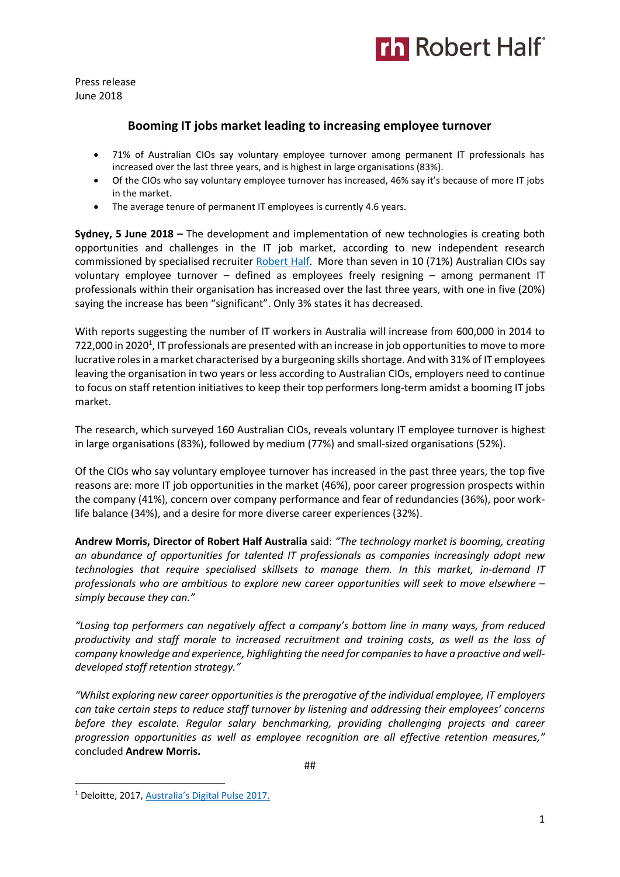

Press release June 2018

## **Booming IT jobs market leading to increasing employee turnover**

- 71% of Australian CIOs say voluntary employee turnover among permanent IT professionals has increased over the last three years, and is highest in large organisations (83%).
- Of the CIOs who say voluntary employee turnover has increased, 46% say it's because of more IT jobs in the market.
- The average tenure of permanent IT employees is currently 4.6 years.

**Sydney, 5 June 2018 –** The development and implementation of new technologies is creating both opportunities and challenges in the IT job market, according to new independent research commissioned by specialised recruiter [Robert Half.](https://www.roberthalf.com.au/?utm_source=roberthalf&utm_medium=pressrelease&utm_campaign=rh-all-nonspecific-ongoing) More than seven in 10 (71%) Australian CIOs say voluntary employee turnover – defined as employees freely resigning – among permanent IT professionals within their organisation has increased over the last three years, with one in five (20%) saying the increase has been "significant". Only 3% states it has decreased.

With reports suggesting the number of IT workers in Australia will increase from 600,000 in 2014 to 722,000 in 2020<sup>1</sup>, IT professionals are presented with an increase in job opportunities to move to more lucrative rolesin a market characterised by a burgeoning skills shortage. And with 31% of IT employees leaving the organisation in two years or less according to Australian CIOs, employers need to continue to focus on staff retention initiatives to keep their top performers long-term amidst a booming IT jobs market.

The research, which surveyed 160 Australian CIOs, reveals voluntary IT employee turnover is highest in large organisations (83%), followed by medium (77%) and small-sized organisations (52%).

Of the CIOs who say voluntary employee turnover has increased in the past three years, the top five reasons are: more IT job opportunities in the market (46%), poor career progression prospects within the company (41%), concern over company performance and fear of redundancies (36%), poor worklife balance (34%), and a desire for more diverse career experiences (32%).

**Andrew Morris, Director of Robert Half Australia** said: *"The technology market is booming, creating an abundance of opportunities for talented IT professionals as companies increasingly adopt new technologies that require specialised skillsets to manage them. In this market, in-demand IT professionals who are ambitious to explore new career opportunities will seek to move elsewhere – simply because they can."* 

*"Losing top performers can negatively affect a company's bottom line in many ways, from reduced productivity and staff morale to increased recruitment and training costs, as well as the loss of company knowledge and experience, highlighting the need for companies to have a proactive and welldeveloped staff retention strategy."*

*"Whilst exploring new career opportunities is the prerogative of the individual employee, IT employers can take certain steps to reduce staff turnover by listening and addressing their employees' concerns before they escalate. Regular salary benchmarking, providing challenging projects and career progression opportunities as well as employee recognition are all effective retention measures,"*  concluded **Andrew Morris.** 

**<sup>.</sup>** <sup>1</sup> Deloitte, 2017, [Australia's Digital Pulse 2017](https://www2.deloitte.com/au/en/pages/economics/articles/australias-digital-pulse.html).